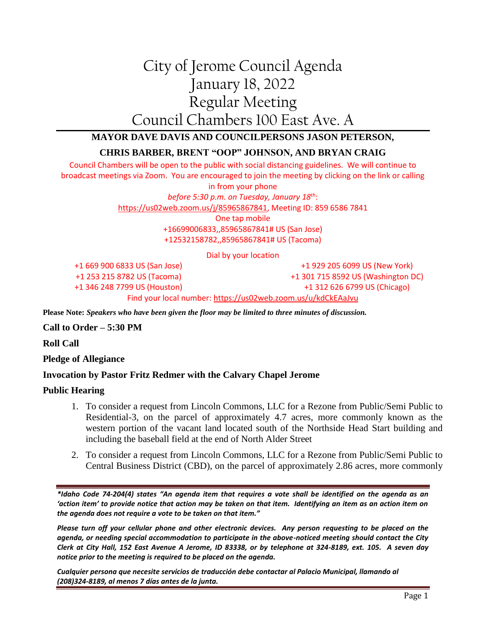# City of Jerome Council Agenda January 18, 2022 Regular Meeting Council Chambers 100 East Ave. A

# **MAYOR DAVE DAVIS AND COUNCILPERSONS JASON PETERSON,**

# **CHRIS BARBER, BRENT "OOP" JOHNSON, AND BRYAN CRAIG**

Council Chambers will be open to the public with social distancing guidelines. We will continue to broadcast meetings via Zoom. You are encouraged to join the meeting by clicking on the link or calling in from your phone *before 5:30 p.m. on Tuesday, January 18th*: [https://us02web.zoom.us/j/85965867841,](https://us02web.zoom.us/j/85965867841) Meeting ID: 859 6586 7841 One tap mobile +16699006833,,85965867841# US (San Jose) +12532158782,,85965867841# US (Tacoma)

Dial by your location

+1 669 900 6833 US (San Jose) +1 253 215 8782 US (Tacoma) +1 346 248 7799 US (Houston)

+1 929 205 6099 US (New York) +1 301 715 8592 US (Washington DC) +1 312 626 6799 US (Chicago)

#### Find your local number:<https://us02web.zoom.us/u/kdCkEAaJvu>

**Please Note:** *Speakers who have been given the floor may be limited to three minutes of discussion.*

## **Call to Order – 5:30 PM**

**Roll Call**

**Pledge of Allegiance**

# **Invocation by Pastor Fritz Redmer with the Calvary Chapel Jerome**

## **Public Hearing**

- 1. To consider a request from Lincoln Commons, LLC for a Rezone from Public/Semi Public to Residential-3, on the parcel of approximately 4.7 acres, more commonly known as the western portion of the vacant land located south of the Northside Head Start building and including the baseball field at the end of North Alder Street
- 2. To consider a request from Lincoln Commons, LLC for a Rezone from Public/Semi Public to Central Business District (CBD), on the parcel of approximately 2.86 acres, more commonly

*\*Idaho Code 74-204(4) states "An agenda item that requires a vote shall be identified on the agenda as an 'action item' to provide notice that action may be taken on that item. Identifying an item as an action item on the agenda does not require a vote to be taken on that item."*

*Please turn off your cellular phone and other electronic devices. Any person requesting to be placed on the agenda, or needing special accommodation to participate in the above-noticed meeting should contact the City Clerk at City Hall, 152 East Avenue A Jerome, ID 83338, or by telephone at 324-8189, ext. 105. A seven day notice prior to the meeting is required to be placed on the agenda.* 

*Cualquier persona que necesite servicios de traducción debe contactar al Palacio Municipal, llamando al (208)324-8189, al menos 7 días antes de la junta.*